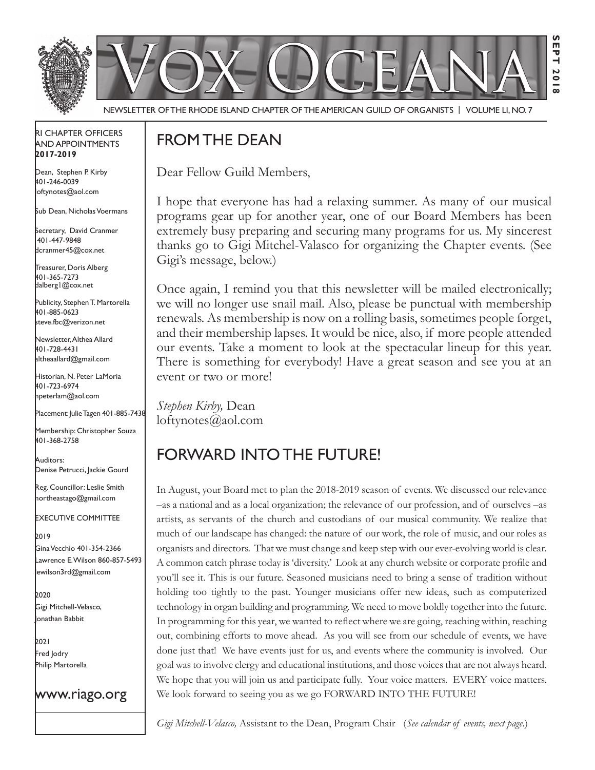

NEWSLETTER OF THE RHODE ISLAND CHAPTER OF THE AMERICAN GUILD OF ORGANISTS | VOLUME LI, NO. 7

#### rI Chapter offICers aNd appoINtmeNts **2017-2019**

Dean, Stephen P. Kirby 401-246-0039 loftynotes@aol.com

sub dean, Nicholas Voermans

Secretary, David Cranmer 401-447-9848 dcranmer45@cox.net

Treasurer, Doris Alberg 401-365-7273 dalberg1@cox.net

I Publicity, Stephen T. Martorella 401-885-0623 steve.fbc@verizon.net

Newsletter, Althea Allard 401-728-4431 altheaallard@gmail.com

historian, N. peter lamoria 401-723-6974 npeterlam@aol.com

Placement: Julie Tagen 401-885-7438

Membership: Christopher Souza 401-368-2758

Auditors: Denise Petrucci, Jackie Gourd

Reg. Councillor: Leslie Smith northeastago@gmail.com

exeCutIVe CommIttee

2019 Gina Vecchio 401-354-2366 lawrence e. wilson 860-857-5493 lewilson3rd@gmail.com

2020 Gigi Mitchell-Velasco, Jonathan Babbit

2021 fred Jodry Philip Martorella

## www.riago.org

# from the deaN

Dear Fellow Guild Members,

I hope that everyone has had a relaxing summer. As many of our musical programs gear up for another year, one of our Board Members has been extremely busy preparing and securing many programs for us. My sincerest thanks go to Gigi Mitchel-Valasco for organizing the Chapter events. (See Gigi's message, below.)

Once again, I remind you that this newsletter will be mailed electronically; we will no longer use snail mail. Also, please be punctual with membership renewals. As membership is now on a rolling basis, sometimes people forget, and their membership lapses. It would be nice, also, if more people attended our events. Take a moment to look at the spectacular lineup for this year. There is something for everybody! Have a great season and see you at an event or two or more!

*Stephen Kirby,* Dean loftynotes@aol.com

# forward INto the future!

In August, your Board met to plan the 2018-2019 season of events. We discussed our relevance –as a national and as a local organization; the relevance of our profession, and of ourselves –as artists, as servants of the church and custodians of our musical community. We realize that much of our landscape has changed: the nature of our work, the role of music, and our roles as organists and directors. That we must change and keep step with our ever-evolving world is clear. A common catch phrase today is 'diversity.' Look at any church website or corporate profle and you'll see it. This is our future. Seasoned musicians need to bring a sense of tradition without holding too tightly to the past. Younger musicians offer new ideas, such as computerized technology in organ building and programming. We need to move boldly together into the future. In programming for this year, we wanted to refect where we are going, reaching within, reaching out, combining efforts to move ahead. As you will see from our schedule of events, we have done just that! We have events just for us, and events where the community is involved. Our goal was to involve clergy and educational institutions, and those voices that are not always heard. We hope that you will join us and participate fully. Your voice matters. EVERY voice matters. We look forward to seeing you as we go FORWARD INTO THE FUTURE!

*Gigi Mitchell-Velasco,* Assistant to the Dean, Program Chair (*See calendar of events, next page*.)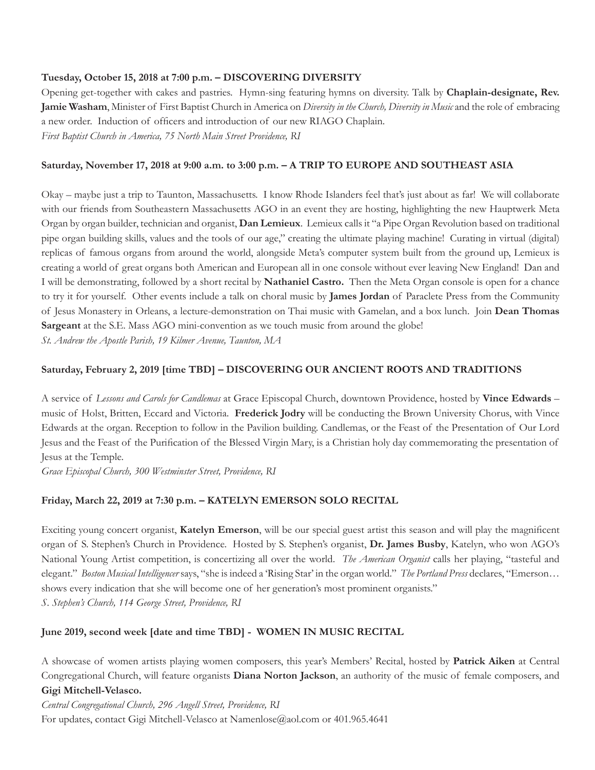#### **Tuesday, October 15, 2018 at 7:00 p.m. – DISCOVERING DIVERSITY**

Opening get-together with cakes and pastries. Hymn-sing featuring hymns on diversity. Talk by **Chaplain-designate, Rev. Jamie Washam**, Minister of First Baptist Church in America on *Diversity in the Church, Diversity in Music* and the role of embracing a new order. Induction of offcers and introduction of our new RIAGO Chaplain. *First Baptist Church in America, 75 North Main Street Providence, RI*

#### **Saturday, November 17, 2018 at 9:00 a.m. to 3:00 p.m. – A TRIP TO EUROPE AND SOUTHEAST ASIA**

Okay – maybe just a trip to Taunton, Massachusetts. I know Rhode Islanders feel that's just about as far! We will collaborate with our friends from Southeastern Massachusetts AGO in an event they are hosting, highlighting the new Hauptwerk Meta Organ by organ builder, technician and organist, **Dan Lemieux**. Lemieux calls it "a Pipe Organ Revolution based on traditional pipe organ building skills, values and the tools of our age," creating the ultimate playing machine! Curating in virtual (digital) replicas of famous organs from around the world, alongside Meta's computer system built from the ground up, Lemieux is creating a world of great organs both American and European all in one console without ever leaving New England! Dan and I will be demonstrating, followed by a short recital by **Nathaniel Castro.** Then the Meta Organ console is open for a chance to try it for yourself. Other events include a talk on choral music by **James Jordan** of Paraclete Press from the Community of Jesus Monastery in Orleans, a lecture-demonstration on Thai music with Gamelan, and a box lunch. Join **Dean Thomas Sargeant** at the S.E. Mass AGO mini-convention as we touch music from around the globe!

*St. Andrew the Apostle Parish, 19 Kilmer Avenue, Taunton, MA* 

#### **Saturday, February 2, 2019 [time TBD] – DISCOVERING OUR ANCIENT ROOTS AND TRADITIONS**

A service of *Lessons and Carols for Candlemas* at Grace Episcopal Church, downtown Providence, hosted by **Vince Edwards** – music of Holst, Britten, Eccard and Victoria. **Frederick Jodry** will be conducting the Brown University Chorus, with Vince Edwards at the organ. Reception to follow in the Pavilion building. Candlemas, or the Feast of the Presentation of Our Lord Jesus and the Feast of the Purifcation of the Blessed Virgin Mary, is a Christian holy day commemorating the presentation of Jesus at the Temple.

*Grace Episcopal Church, 300 Westminster Street, Providence, RI*

#### **Friday, March 22, 2019 at 7:30 p.m. – KATELYN EMERSON SOLO RECITAL**

Exciting young concert organist, **Katelyn Emerson**, will be our special guest artist this season and will play the magnifcent organ of S. Stephen's Church in Providence. Hosted by S. Stephen's organist, **Dr. James Busby**, Katelyn, who won AGO's National Young Artist competition, is concertizing all over the world. *The American Organist* calls her playing, "tasteful and elegant." *Boston Musical Intelligencer* says, "she is indeed a 'Rising Star' in the organ world." *The Portland Press* declares, "Emerson… shows every indication that she will become one of her generation's most prominent organists." *S. Stephen's Church, 114 George Street, Providence, RI* 

#### **June 2019, second week [date and time TBD] - WOMEN IN MUSIC RECITAL**

A showcase of women artists playing women composers, this year's Members' Recital, hosted by **Patrick Aiken** at Central Congregational Church, will feature organists **Diana Norton Jackson**, an authority of the music of female composers, and **Gigi Mitchell-Velasco.**

*Central Congregational Church, 296 Angell Street, Providence, RI*  For updates, contact Gigi Mitchell-Velasco at Namenlose@aol.com or 401.965.4641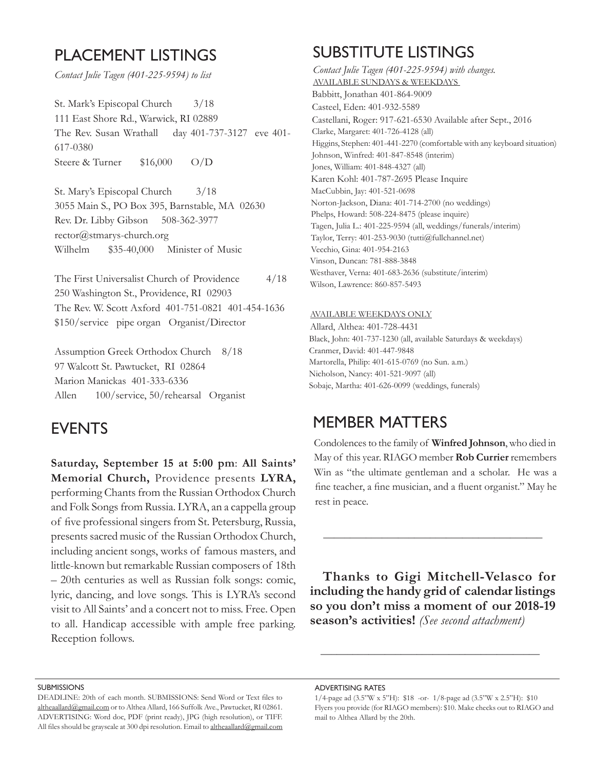## PLACEMENT LISTINGS

*Contact Julie Tagen (401-225-9594) to list*

St. Mark's Episcopal Church 3/18 111 East Shore Rd., Warwick, RI 02889 The Rev. Susan Wrathall day 401-737-3127 eve 401- 617-0380 Steere & Turner \$16,000 O/D

St. Mary's Episcopal Church 3/18 3055 Main S., PO Box 395, Barnstable, MA 02630 Rev. Dr. Libby Gibson 508-362-3977 rector@stmarys-church.org Wilhelm \$35-40,000 Minister of Music

The First Universalist Church of Providence 4/18 250 Washington St., Providence, RI 02903 The Rev. W. Scott Axford 401-751-0821 401-454-1636 \$150/service pipe organ Organist/Director

Assumption Greek Orthodox Church 8/18 97 Walcott St. Pawtucket, RI 02864 Marion Manickas 401-333-6336 Allen 100/service, 50/rehearsal Organist

## **EVENTS**

**Saturday, September 15 at 5:00 pm**: **All Saints' Memorial Church,** Providence presents **LYRA,**  performing Chants from the Russian Orthodox Church and Folk Songs from Russia. LYRA, an a cappella group of fve professional singers from St. Petersburg, Russia, presents sacred music of the Russian Orthodox Church, including ancient songs, works of famous masters, and little-known but remarkable Russian composers of 18th – 20th centuries as well as Russian folk songs: comic, lyric, dancing, and love songs. This is LYRA's second visit to All Saints' and a concert not to miss. Free. Open to all. Handicap accessible with ample free parking. Reception follows.

# suBstItute lIstINGs

*Contact Julie Tagen (401-225-9594) with changes.* AVAILABLE SUNDAYS & WEEKDAYS Babbitt, Jonathan 401-864-9009 Casteel, Eden: 401-932-5589 Castellani, Roger: 917-621-6530 Available after Sept., 2016 Clarke, Margaret: 401-726-4128 (all) Higgins, Stephen: 401-441-2270 (comfortable with any keyboard situation) Johnson, Winfred: 401-847-8548 (interim) Jones, William: 401-848-4327 (all) Karen Kohl: 401-787-2695 Please Inquire MacCubbin, Jay: 401-521-0698 Norton-Jackson, Diana: 401-714-2700 (no weddings) Phelps, Howard: 508-224-8475 (please inquire) Tagen, Julia L.: 401-225-9594 (all, weddings/funerals/interim) Taylor, Terry: 401-253-9030 (tutti@fullchannel.net) Vecchio, Gina: 401-954-2163 Vinson, Duncan: 781-888-3848 Westhaver, Verna: 401-683-2636 (substitute/interim) Wilson, Lawrence: 860-857-5493

#### AVAILABLE WEEKDAYS ONLY

Allard, Althea: 401-728-4431 Black, John: 401-737-1230 (all, available Saturdays & weekdays) Cranmer, David: 401-447-9848 Martorella, Philip: 401-615-0769 (no Sun. a.m.) Nicholson, Nancy: 401-521-9097 (all) Sobaje, Martha: 401-626-0099 (weddings, funerals)

## memBer matters

Condolences to the family of **Winfred Johnson**, who died in May of this year. RIAGO member **Rob Currier** remembers Win as "the ultimate gentleman and a scholar. He was a fne teacher, a fne musician, and a fuent organist." May he rest in peace.

**Thanks to Gigi Mitchell-Velasco for including the handy grid of calendar listings so you don't miss a moment of our 2018-19 season's activities!** *(See second attachment)*

**\_\_\_\_\_\_\_\_\_\_\_\_\_\_\_\_\_\_\_\_\_\_\_\_\_\_\_\_\_\_\_\_\_\_\_\_\_\_\_\_\_**

**\_\_\_\_\_\_\_\_\_\_\_\_\_\_\_\_\_\_\_\_\_\_\_\_\_\_\_\_\_\_\_\_\_\_\_\_\_\_\_\_\_**

#### **SUBMISSIONS**

adVertIsING rates

DEADLINE: 20th of each month. SUBMISSIONS: Send Word or Text fles to altheaallard@gmail.com or to Althea Allard, 166 Suffolk Ave., Pawtucket, RI 02861. ADVERTISING: Word doc, PDF (print ready), JPG (high resolution), or TIFF. All files should be grayscale at 300 dpi resolution. Email to altheaallard@gmail.com

<sup>1/4-</sup>page ad (3.5"W x 5"H): \$18 -or- 1/8-page ad (3.5"W x 2.5"H): \$10 Flyers you provide (for RIAGO members): \$10. Make checks out to RIAGO and mail to Althea Allard by the 20th.